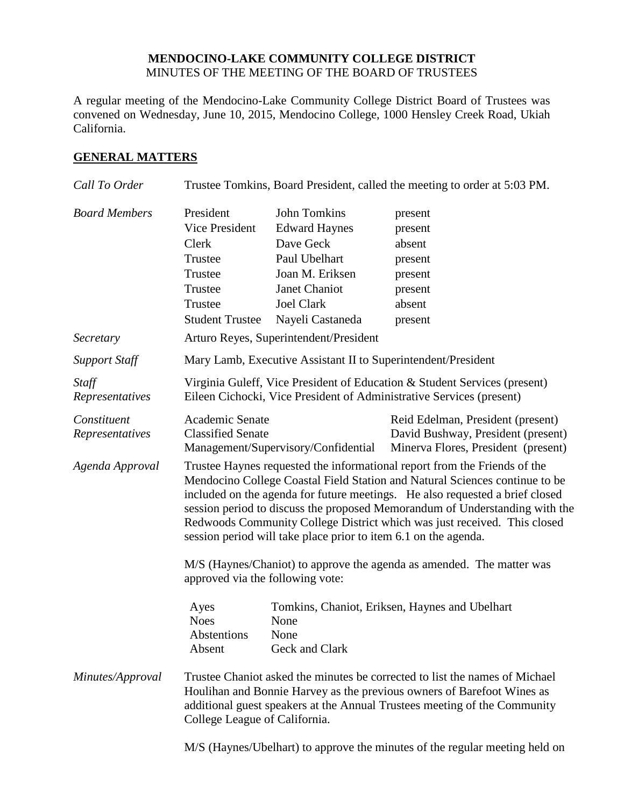### **MENDOCINO-LAKE COMMUNITY COLLEGE DISTRICT** MINUTES OF THE MEETING OF THE BOARD OF TRUSTEES

A regular meeting of the Mendocino-Lake Community College District Board of Trustees was convened on Wednesday, June 10, 2015, Mendocino College, 1000 Hensley Creek Road, Ukiah California.

### **GENERAL MATTERS**

| Call To Order                  |                                                                                                                                                                                                                                                                                                                                                                                                                                                                                                                                                 |                                                                                                                                                               | Trustee Tomkins, Board President, called the meeting to order at 5:03 PM.                                                                                                                                                          |
|--------------------------------|-------------------------------------------------------------------------------------------------------------------------------------------------------------------------------------------------------------------------------------------------------------------------------------------------------------------------------------------------------------------------------------------------------------------------------------------------------------------------------------------------------------------------------------------------|---------------------------------------------------------------------------------------------------------------------------------------------------------------|------------------------------------------------------------------------------------------------------------------------------------------------------------------------------------------------------------------------------------|
| <b>Board Members</b>           | President<br>Vice President<br>Clerk<br>Trustee<br>Trustee<br>Trustee<br>Trustee<br><b>Student Trustee</b>                                                                                                                                                                                                                                                                                                                                                                                                                                      | <b>John Tomkins</b><br><b>Edward Haynes</b><br>Dave Geck<br>Paul Ubelhart<br>Joan M. Eriksen<br><b>Janet Chaniot</b><br><b>Joel Clark</b><br>Nayeli Castaneda | present<br>present<br>absent<br>present<br>present<br>present<br>absent<br>present                                                                                                                                                 |
| Secretary                      |                                                                                                                                                                                                                                                                                                                                                                                                                                                                                                                                                 | Arturo Reyes, Superintendent/President                                                                                                                        |                                                                                                                                                                                                                                    |
| <b>Support Staff</b>           |                                                                                                                                                                                                                                                                                                                                                                                                                                                                                                                                                 | Mary Lamb, Executive Assistant II to Superintendent/President                                                                                                 |                                                                                                                                                                                                                                    |
| Staff<br>Representatives       | Virginia Guleff, Vice President of Education & Student Services (present)<br>Eileen Cichocki, Vice President of Administrative Services (present)                                                                                                                                                                                                                                                                                                                                                                                               |                                                                                                                                                               |                                                                                                                                                                                                                                    |
| Constituent<br>Representatives | Academic Senate<br><b>Classified Senate</b>                                                                                                                                                                                                                                                                                                                                                                                                                                                                                                     | Management/Supervisory/Confidential                                                                                                                           | Reid Edelman, President (present)<br>David Bushway, President (present)<br>Minerva Flores, President (present)                                                                                                                     |
| Agenda Approval                | Trustee Haynes requested the informational report from the Friends of the<br>Mendocino College Coastal Field Station and Natural Sciences continue to be<br>included on the agenda for future meetings. He also requested a brief closed<br>session period to discuss the proposed Memorandum of Understanding with the<br>Redwoods Community College District which was just received. This closed<br>session period will take place prior to item 6.1 on the agenda.<br>M/S (Haynes/Chaniot) to approve the agenda as amended. The matter was |                                                                                                                                                               |                                                                                                                                                                                                                                    |
|                                | approved via the following vote:                                                                                                                                                                                                                                                                                                                                                                                                                                                                                                                |                                                                                                                                                               |                                                                                                                                                                                                                                    |
|                                | Ayes<br><b>Noes</b><br><b>Abstentions</b><br>Absent                                                                                                                                                                                                                                                                                                                                                                                                                                                                                             | None<br>None<br>Geck and Clark                                                                                                                                | Tomkins, Chaniot, Eriksen, Haynes and Ubelhart                                                                                                                                                                                     |
| Minutes/Approval               | College League of California.                                                                                                                                                                                                                                                                                                                                                                                                                                                                                                                   |                                                                                                                                                               | Trustee Chaniot asked the minutes be corrected to list the names of Michael<br>Houlihan and Bonnie Harvey as the previous owners of Barefoot Wines as<br>additional guest speakers at the Annual Trustees meeting of the Community |
|                                |                                                                                                                                                                                                                                                                                                                                                                                                                                                                                                                                                 |                                                                                                                                                               | M/S (Haynes/Ubelhart) to approve the minutes of the regular meeting held on                                                                                                                                                        |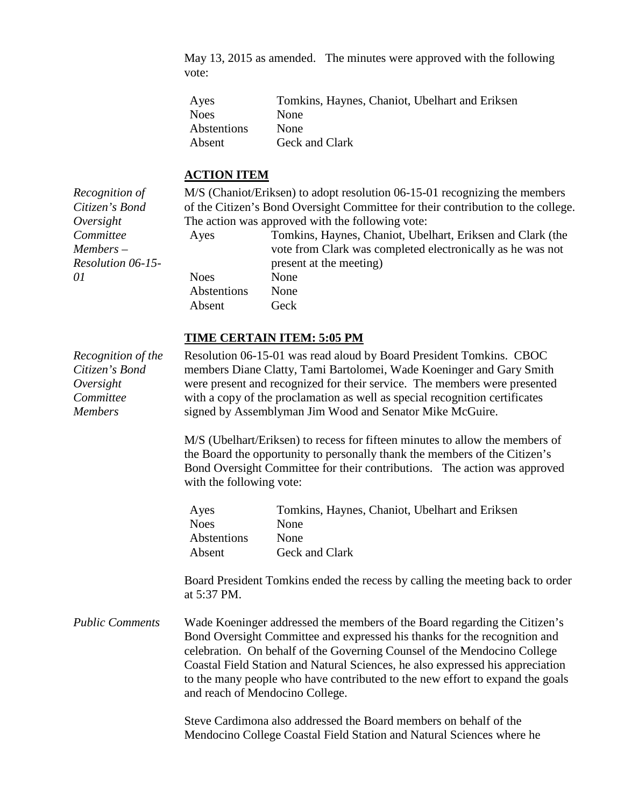May 13, 2015 as amended. The minutes were approved with the following vote:

M/S (Chaniot/Eriksen) to adopt resolution 06-15-01 recognizing the members

| Ayes        | Tomkins, Haynes, Chaniot, Ubelhart and Eriksen |
|-------------|------------------------------------------------|
| <b>Noes</b> | None                                           |
| Abstentions | None                                           |
| Absent      | Geck and Clark                                 |

# **ACTION ITEM**

*Recognition of* 

| Citizen's Bond<br>Oversight                                                      |                          | of the Citizen's Bond Oversight Committee for their contribution to the college.<br>The action was approved with the following vote:                                                                                                                                                                                                                                                                                                     |
|----------------------------------------------------------------------------------|--------------------------|------------------------------------------------------------------------------------------------------------------------------------------------------------------------------------------------------------------------------------------------------------------------------------------------------------------------------------------------------------------------------------------------------------------------------------------|
| Committee<br>$Members-$<br>Resolution 06-15-                                     | Ayes                     | Tomkins, Haynes, Chaniot, Ubelhart, Eriksen and Clark (the<br>vote from Clark was completed electronically as he was not<br>present at the meeting)                                                                                                                                                                                                                                                                                      |
| 01                                                                               | <b>Noes</b>              | None                                                                                                                                                                                                                                                                                                                                                                                                                                     |
|                                                                                  | Abstentions              | None                                                                                                                                                                                                                                                                                                                                                                                                                                     |
|                                                                                  | Absent                   | Geck                                                                                                                                                                                                                                                                                                                                                                                                                                     |
|                                                                                  |                          | <b>TIME CERTAIN ITEM: 5:05 PM</b>                                                                                                                                                                                                                                                                                                                                                                                                        |
| Recognition of the<br>Citizen's Bond<br>Oversight<br>Committee<br><b>Members</b> |                          | Resolution 06-15-01 was read aloud by Board President Tomkins. CBOC<br>members Diane Clatty, Tami Bartolomei, Wade Koeninger and Gary Smith<br>were present and recognized for their service. The members were presented<br>with a copy of the proclamation as well as special recognition certificates<br>signed by Assemblyman Jim Wood and Senator Mike McGuire.                                                                      |
|                                                                                  | with the following vote: | M/S (Ubelhart/Eriksen) to recess for fifteen minutes to allow the members of<br>the Board the opportunity to personally thank the members of the Citizen's<br>Bond Oversight Committee for their contributions. The action was approved                                                                                                                                                                                                  |
|                                                                                  | Ayes                     | Tomkins, Haynes, Chaniot, Ubelhart and Eriksen                                                                                                                                                                                                                                                                                                                                                                                           |
|                                                                                  | <b>Noes</b>              | None                                                                                                                                                                                                                                                                                                                                                                                                                                     |
|                                                                                  | Abstentions<br>Absent    | None<br>Geck and Clark                                                                                                                                                                                                                                                                                                                                                                                                                   |
|                                                                                  | at 5:37 PM.              | Board President Tomkins ended the recess by calling the meeting back to order                                                                                                                                                                                                                                                                                                                                                            |
| <b>Public Comments</b>                                                           |                          | Wade Koeninger addressed the members of the Board regarding the Citizen's<br>Bond Oversight Committee and expressed his thanks for the recognition and<br>celebration. On behalf of the Governing Counsel of the Mendocino College<br>Coastal Field Station and Natural Sciences, he also expressed his appreciation<br>to the many people who have contributed to the new effort to expand the goals<br>and reach of Mendocino College. |
|                                                                                  |                          | Steve Cardimona also addressed the Board members on behalf of the<br>Mendocino College Coastal Field Station and Natural Sciences where he                                                                                                                                                                                                                                                                                               |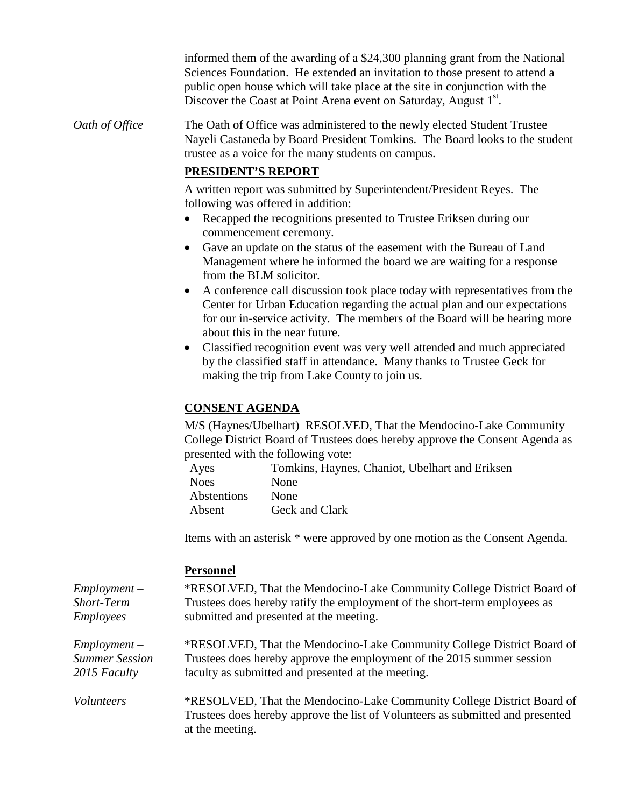informed them of the awarding of a \$24,300 planning grant from the National Sciences Foundation. He extended an invitation to those present to attend a public open house which will take place at the site in conjunction with the Discover the Coast at Point Arena event on Saturday, August  $1<sup>st</sup>$ .

*Oath of Office* The Oath of Office was administered to the newly elected Student Trustee Nayeli Castaneda by Board President Tomkins. The Board looks to the student trustee as a voice for the many students on campus.

# **PRESIDENT'S REPORT**

A written report was submitted by Superintendent/President Reyes. The following was offered in addition:

- Recapped the recognitions presented to Trustee Eriksen during our commencement ceremony.
- Gave an update on the status of the easement with the Bureau of Land Management where he informed the board we are waiting for a response from the BLM solicitor.
- A conference call discussion took place today with representatives from the Center for Urban Education regarding the actual plan and our expectations for our in-service activity. The members of the Board will be hearing more about this in the near future.
- Classified recognition event was very well attended and much appreciated by the classified staff in attendance. Many thanks to Trustee Geck for making the trip from Lake County to join us.

# **CONSENT AGENDA**

M/S (Haynes/Ubelhart) RESOLVED, That the Mendocino-Lake Community College District Board of Trustees does hereby approve the Consent Agenda as presented with the following vote:

Ayes Tomkins, Haynes, Chaniot, Ubelhart and Eriksen Noes None Abstentions None Absent Geck and Clark

Items with an asterisk \* were approved by one motion as the Consent Agenda.

|                       | <b>Personnel</b>                                                                                                                                                            |
|-----------------------|-----------------------------------------------------------------------------------------------------------------------------------------------------------------------------|
| $Employment -$        | *RESOLVED, That the Mendocino-Lake Community College District Board of                                                                                                      |
| Short-Term            | Trustees does hereby ratify the employment of the short-term employees as                                                                                                   |
| <i>Employees</i>      | submitted and presented at the meeting.                                                                                                                                     |
| $Employment -$        | *RESOLVED, That the Mendocino-Lake Community College District Board of                                                                                                      |
| <b>Summer Session</b> | Trustees does hereby approve the employment of the 2015 summer session                                                                                                      |
| 2015 Faculty          | faculty as submitted and presented at the meeting.                                                                                                                          |
| <i>Volunteers</i>     | *RESOLVED, That the Mendocino-Lake Community College District Board of<br>Trustees does hereby approve the list of Volunteers as submitted and presented<br>at the meeting. |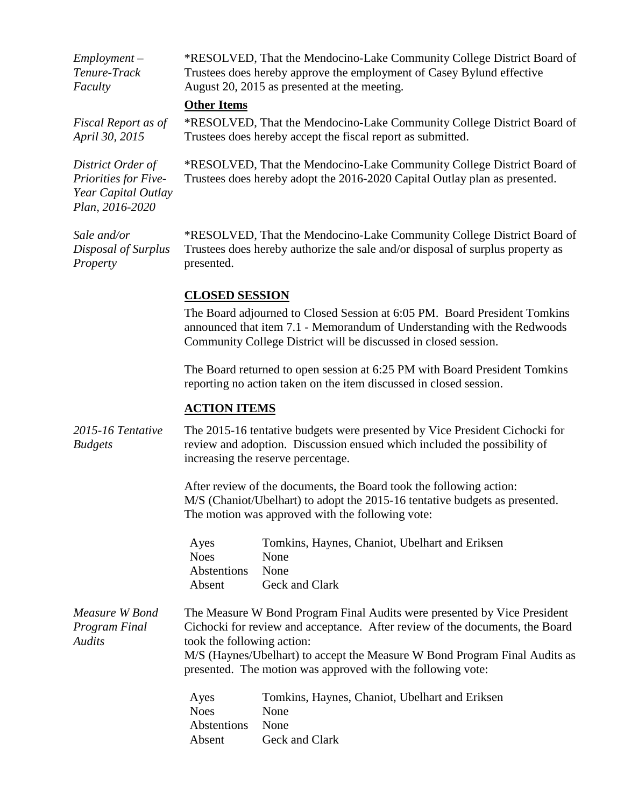*Employment – Tenure-Track Faculty* \*RESOLVED, That the Mendocino-Lake Community College District Board of Trustees does hereby approve the employment of Casey Bylund effective August 20, 2015 as presented at the meeting. **Other Items** *Fiscal Report as of April 30, 2015* \*RESOLVED, That the Mendocino-Lake Community College District Board of Trustees does hereby accept the fiscal report as submitted. *District Order of Priorities for Five-Year Capital Outlay Plan, 2016-2020* \*RESOLVED, That the Mendocino-Lake Community College District Board of Trustees does hereby adopt the 2016-2020 Capital Outlay plan as presented. *Sale and/or Disposal of Surplus Property* \*RESOLVED, That the Mendocino-Lake Community College District Board of Trustees does hereby authorize the sale and/or disposal of surplus property as presented. **CLOSED SESSION**  The Board adjourned to Closed Session at 6:05 PM. Board President Tomkins announced that item 7.1 - Memorandum of Understanding with the Redwoods Community College District will be discussed in closed session. The Board returned to open session at 6:25 PM with Board President Tomkins reporting no action taken on the item discussed in closed session. **ACTION ITEMS** *2015-16 Tentative Budgets* The 2015-16 tentative budgets were presented by Vice President Cichocki for review and adoption. Discussion ensued which included the possibility of increasing the reserve percentage. After review of the documents, the Board took the following action: M/S (Chaniot/Ubelhart) to adopt the 2015-16 tentative budgets as presented. The motion was approved with the following vote: Ayes Tomkins, Haynes, Chaniot, Ubelhart and Eriksen Noes None Abstentions None Absent Geck and Clark *Measure W Bond Program Final Audits* The Measure W Bond Program Final Audits were presented by Vice President Cichocki for review and acceptance. After review of the documents, the Board took the following action: M/S (Haynes/Ubelhart) to accept the Measure W Bond Program Final Audits as presented. The motion was approved with the following vote: Ayes Tomkins, Haynes, Chaniot, Ubelhart and Eriksen Noes None Abstentions None Absent Geck and Clark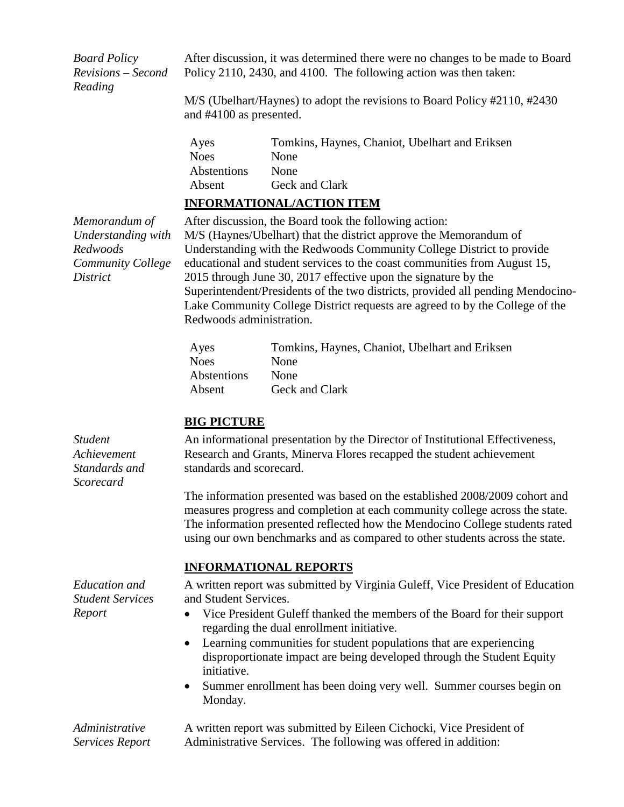*Board Policy Revisions – Second Reading*

After discussion, it was determined there were no changes to be made to Board Policy 2110, 2430, and 4100. The following action was then taken:

M/S (Ubelhart/Haynes) to adopt the revisions to Board Policy #2110, #2430 and #4100 as presented.

| Ayes        | Tomkins, Haynes, Chaniot, Ubelhart and Eriksen |
|-------------|------------------------------------------------|
| <b>Noes</b> | None                                           |
| Abstentions | <b>None</b>                                    |
| Absent      | Geck and Clark                                 |

### **INFORMATIONAL/ACTION ITEM**

*Memorandum of Understanding with Redwoods Community College District*

After discussion, the Board took the following action: M/S (Haynes/Ubelhart) that the district approve the Memorandum of Understanding with the Redwoods Community College District to provide educational and student services to the coast communities from August 15, 2015 through June 30, 2017 effective upon the signature by the Superintendent/Presidents of the two districts, provided all pending Mendocino-Lake Community College District requests are agreed to by the College of the Redwoods administration.

| Ayes        | Tomkins, Haynes, Chaniot, Ubelhart and Eriksen |
|-------------|------------------------------------------------|
| <b>Noes</b> | <b>None</b>                                    |
| Abstentions | <b>None</b>                                    |
| Absent      | Geck and Clark                                 |

# **BIG PICTURE**

An informational presentation by the Director of Institutional Effectiveness, Research and Grants, Minerva Flores recapped the student achievement standards and scorecard.

The information presented was based on the established 2008/2009 cohort and measures progress and completion at each community college across the state. The information presented reflected how the Mendocino College students rated using our own benchmarks and as compared to other students across the state.

# **INFORMATIONAL REPORTS**

A written report was submitted by Virginia Guleff, Vice President of Education and Student Services.

- Vice President Guleff thanked the members of the Board for their support regarding the dual enrollment initiative.
- Learning communities for student populations that are experiencing disproportionate impact are being developed through the Student Equity initiative.
- Summer enrollment has been doing very well. Summer courses begin on Monday.

*Administrative Services Report* A written report was submitted by Eileen Cichocki, Vice President of Administrative Services. The following was offered in addition:

*Achievement Standards and Scorecard*

*Student* 

*Education and Student Services Report*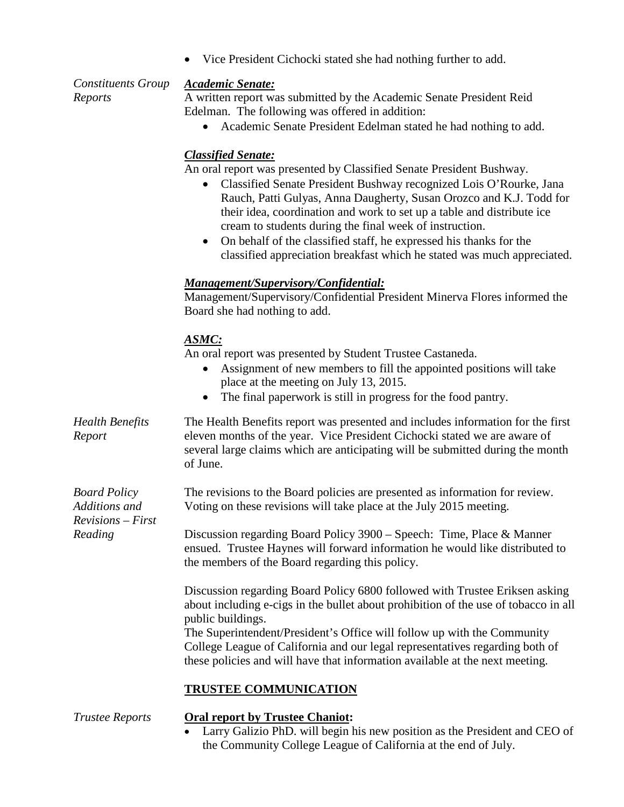• Vice President Cichocki stated she had nothing further to add.

*Constituents Group Reports*

*Board Policy Additions and Revisions – First* 

*Reading*

#### *Academic Senate:*

A written report was submitted by the Academic Senate President Reid Edelman. The following was offered in addition:

• Academic Senate President Edelman stated he had nothing to add.

#### *Classified Senate:*

An oral report was presented by Classified Senate President Bushway.

- Classified Senate President Bushway recognized Lois O'Rourke, Jana Rauch, Patti Gulyas, Anna Daugherty, Susan Orozco and K.J. Todd for their idea, coordination and work to set up a table and distribute ice cream to students during the final week of instruction.
- On behalf of the classified staff, he expressed his thanks for the classified appreciation breakfast which he stated was much appreciated.

#### *Management/Supervisory/Confidential:*

Management/Supervisory/Confidential President Minerva Flores informed the Board she had nothing to add.

### *ASMC:*

An oral report was presented by Student Trustee Castaneda.

- Assignment of new members to fill the appointed positions will take place at the meeting on July 13, 2015.
- The final paperwork is still in progress for the food pantry.

*Health Benefits Report* The Health Benefits report was presented and includes information for the first eleven months of the year. Vice President Cichocki stated we are aware of several large claims which are anticipating will be submitted during the month of June.

> The revisions to the Board policies are presented as information for review. Voting on these revisions will take place at the July 2015 meeting.

Discussion regarding Board Policy 3900 – Speech: Time, Place & Manner ensued. Trustee Haynes will forward information he would like distributed to the members of the Board regarding this policy.

Discussion regarding Board Policy 6800 followed with Trustee Eriksen asking about including e-cigs in the bullet about prohibition of the use of tobacco in all public buildings.

The Superintendent/President's Office will follow up with the Community College League of California and our legal representatives regarding both of these policies and will have that information available at the next meeting.

# **TRUSTEE COMMUNICATION**

| <i>Trustee Reports</i> | <b>Oral report by Trustee Chaniot:</b>                                     |  |
|------------------------|----------------------------------------------------------------------------|--|
|                        | Larry Galizio PhD. will begin his new position as the President and CEO of |  |
|                        | the Community College League of California at the end of July.             |  |